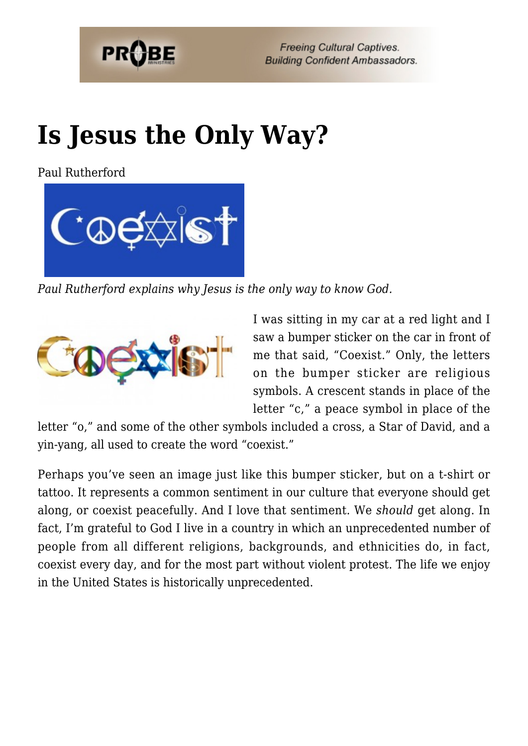

**Freeing Cultural Captives. Building Confident Ambassadors.** 

# **[Is Jesus the Only Way?](https://probe.org/is-jesus-the-only-way/)**

Paul Rutherford



*Paul Rutherford explains why Jesus is the only way to know God.*



I was sitting in my car at a red light and I saw a bumper sticker on the car in front of me that said, "Coexist." Only, the letters on the bumper sticker are religious symbols. A crescent stands in place of the letter "c," a peace symbol in place of the

letter "o," and some of the other symbols included a cross, a Star of David, and a yin-yang, all used to create the word "coexist."

Perhaps you've seen an image just like this bumper sticker, but on a t-shirt or tattoo. It represents a common sentiment in our culture that everyone should get along, or coexist peacefully. And I love that sentiment. We *should* get along. In fact, I'm grateful to God I live in a country in which an unprecedented number of people from all different religions, backgrounds, and ethnicities do, in fact, coexist every day, and for the most part without violent protest. The life we enjoy in the United States is historically unprecedented.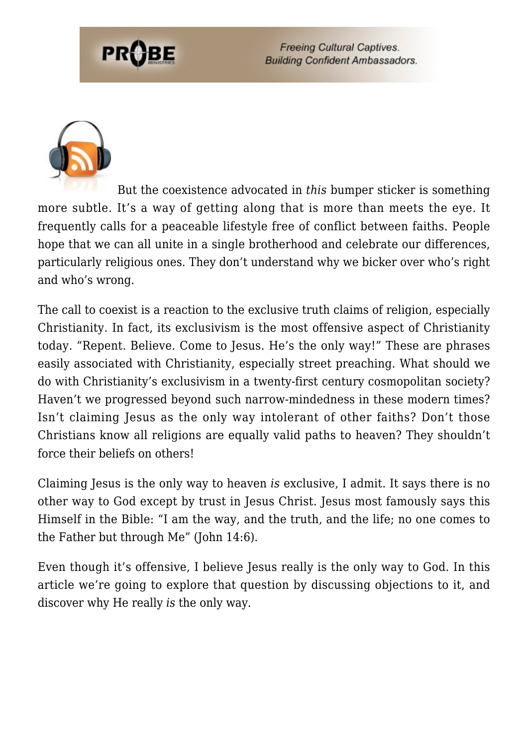**Freeing Cultural Captives. Building Confident Ambassadors.** 



But the coexistence advocated in *this* bumper sticker is something more subtle. It's a way of getting along that is more than meets the eye. It frequently calls for a peaceable lifestyle free of conflict between faiths. People hope that we can all unite in a single brotherhood and celebrate our differences, particularly religious ones. They don't understand why we bicker over who's right and who's wrong.

The call to coexist is a reaction to the exclusive truth claims of religion, especially Christianity. In fact, its exclusivism is the most offensive aspect of Christianity today. "Repent. Believe. Come to Jesus. He's the only way!" These are phrases easily associated with Christianity, especially street preaching. What should we do with Christianity's exclusivism in a twenty-first century cosmopolitan society? Haven't we progressed beyond such narrow-mindedness in these modern times? Isn't claiming Jesus as the only way intolerant of other faiths? Don't those Christians know all religions are equally valid paths to heaven? They shouldn't force their beliefs on others!

Claiming Jesus is the only way to heaven *is* exclusive, I admit. It says there is no other way to God except by trust in Jesus Christ. Jesus most famously says this Himself in the Bible: "I am the way, and the truth, and the life; no one comes to the Father but through Me" (John 14:6).

Even though it's offensive, I believe Jesus really is the only way to God. In this article we're going to explore that question by discussing objections to it, and discover why He really *is* the only way.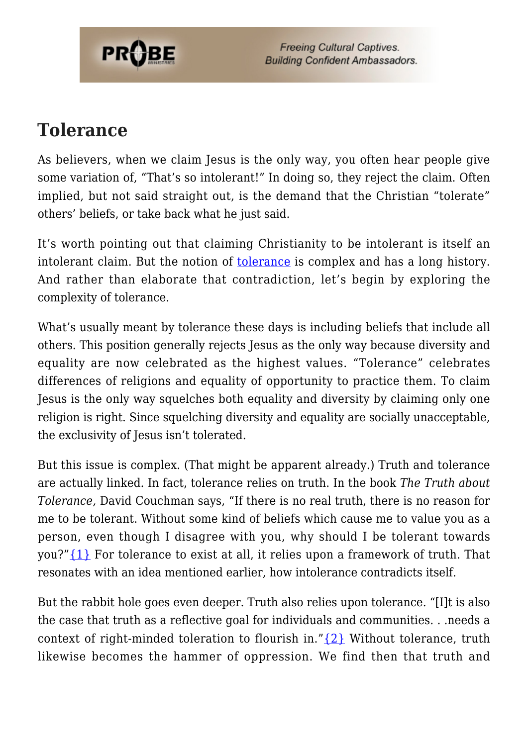

**Freeing Cultural Captives. Building Confident Ambassadors.** 

#### **Tolerance**

As believers, when we claim Jesus is the only way, you often hear people give some variation of, "That's so intolerant!" In doing so, they reject the claim. Often implied, but not said straight out, is the demand that the Christian "tolerate" others' beliefs, or take back what he just said.

It's worth pointing out that claiming Christianity to be intolerant is itself an intolerant claim. But the notion of <u>[tolerance](https://www.probe.org/the-meaning-and-practice-of-tolerance/)</u> is complex and has a long history. And rather than elaborate that contradiction, let's begin by exploring the complexity of tolerance.

What's usually meant by tolerance these days is including beliefs that include all others. This position generally rejects Jesus as the only way because diversity and equality are now celebrated as the highest values. "Tolerance" celebrates differences of religions and equality of opportunity to practice them. To claim Jesus is the only way squelches both equality and diversity by claiming only one religion is right. Since squelching diversity and equality are socially unacceptable, the exclusivity of Jesus isn't tolerated.

But this issue is complex. (That might be apparent already.) Truth and tolerance are actually linked. In fact, tolerance relies on truth. In the book *The Truth about Tolerance,* David Couchman says, "If there is no real truth, there is no reason for me to be tolerant. Without some kind of beliefs which cause me to value you as a person, even though I disagree with you, why should I be tolerant towards you?" $\{1\}$  For tolerance to exist at all, it relies upon a framework of truth. That resonates with an idea mentioned earlier, how intolerance contradicts itself.

But the rabbit hole goes even deeper. Truth also relies upon tolerance. "[I]t is also the case that truth as a reflective goal for individuals and communities. . .needs a context of right-minded toleration to flourish in." $\{2\}$  Without tolerance, truth likewise becomes the hammer of oppression. We find then that truth and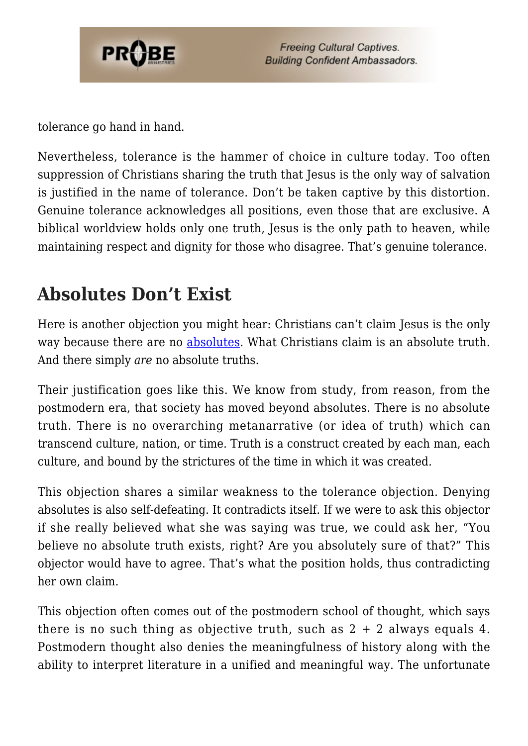

tolerance go hand in hand.

Nevertheless, tolerance is the hammer of choice in culture today. Too often suppression of Christians sharing the truth that Jesus is the only way of salvation is justified in the name of tolerance. Don't be taken captive by this distortion. Genuine tolerance acknowledges all positions, even those that are exclusive. A biblical worldview holds only one truth, Jesus is the only path to heaven, while maintaining respect and dignity for those who disagree. That's genuine tolerance.

## **Absolutes Don't Exist**

Here is another objection you might hear: Christians can't claim Jesus is the only way because there are no [absolutes.](https://www.probe.org/the-new-absolutes/) What Christians claim is an absolute truth. And there simply *are* no absolute truths.

Their justification goes like this. We know from study, from reason, from the postmodern era, that society has moved beyond absolutes. There is no absolute truth. There is no overarching metanarrative (or idea of truth) which can transcend culture, nation, or time. Truth is a construct created by each man, each culture, and bound by the strictures of the time in which it was created.

This objection shares a similar weakness to the tolerance objection. Denying absolutes is also self-defeating. It contradicts itself. If we were to ask this objector if she really believed what she was saying was true, we could ask her, "You believe no absolute truth exists, right? Are you absolutely sure of that?" This objector would have to agree. That's what the position holds, thus contradicting her own claim.

This objection often comes out of the postmodern school of thought, which says there is no such thing as objective truth, such as  $2 + 2$  always equals 4. Postmodern thought also denies the meaningfulness of history along with the ability to interpret literature in a unified and meaningful way. The unfortunate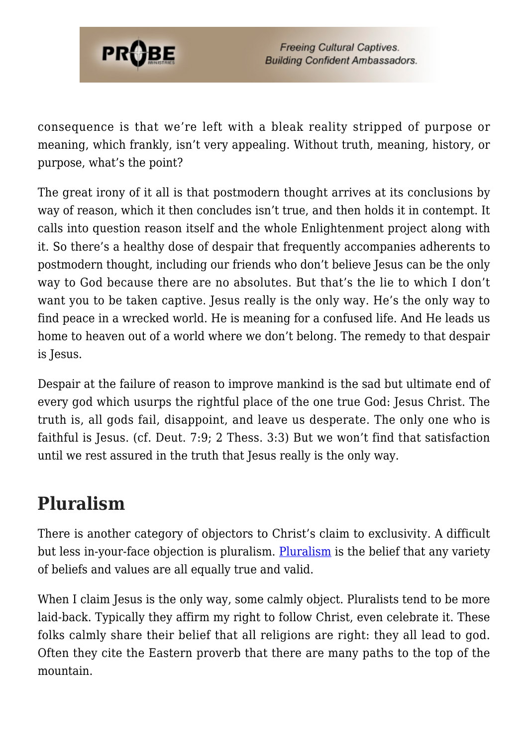

consequence is that we're left with a bleak reality stripped of purpose or meaning, which frankly, isn't very appealing. Without truth, meaning, history, or purpose, what's the point?

The great irony of it all is that postmodern thought arrives at its conclusions by way of reason, which it then concludes isn't true, and then holds it in contempt. It calls into question reason itself and the whole Enlightenment project along with it. So there's a healthy dose of despair that frequently accompanies adherents to postmodern thought, including our friends who don't believe Jesus can be the only way to God because there are no absolutes. But that's the lie to which I don't want you to be taken captive. Jesus really is the only way. He's the only way to find peace in a wrecked world. He is meaning for a confused life. And He leads us home to heaven out of a world where we don't belong. The remedy to that despair is Jesus.

Despair at the failure of reason to improve mankind is the sad but ultimate end of every god which usurps the rightful place of the one true God: Jesus Christ. The truth is, all gods fail, disappoint, and leave us desperate. The only one who is faithful is Jesus. (cf. Deut. 7:9; 2 Thess. 3:3) But we won't find that satisfaction until we rest assured in the truth that Jesus really is the only way.

#### **Pluralism**

There is another category of objectors to Christ's claim to exclusivity. A difficult but less in-your-face objection is pluralism. [Pluralism](https://www.probe.org/christianity-and-religious-pluralism/) is the belief that any variety of beliefs and values are all equally true and valid.

When I claim Jesus is the only way, some calmly object. Pluralists tend to be more laid-back. Typically they affirm my right to follow Christ, even celebrate it. These folks calmly share their belief that all religions are right: they all lead to god. Often they cite the Eastern proverb that there are many paths to the top of the mountain.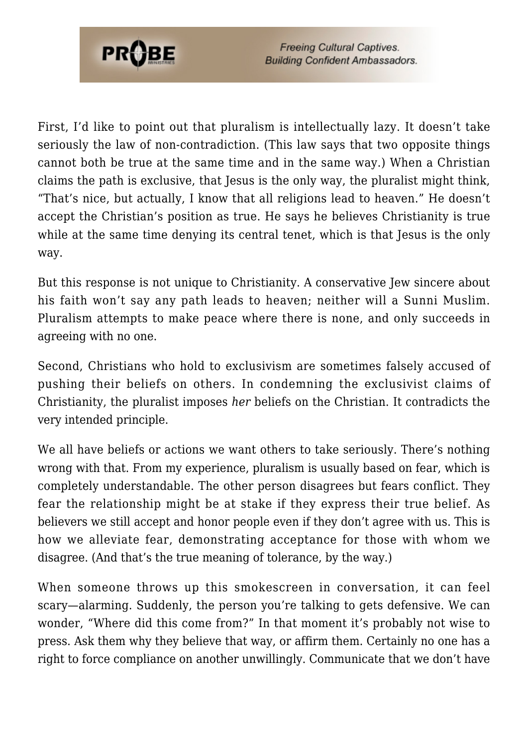

First, I'd like to point out that pluralism is intellectually lazy. It doesn't take seriously the law of non-contradiction. (This law says that two opposite things cannot both be true at the same time and in the same way.) When a Christian claims the path is exclusive, that Jesus is the only way, the pluralist might think, "That's nice, but actually, I know that all religions lead to heaven." He doesn't accept the Christian's position as true. He says he believes Christianity is true while at the same time denying its central tenet, which is that Jesus is the only way.

But this response is not unique to Christianity. A conservative Jew sincere about his faith won't say any path leads to heaven; neither will a Sunni Muslim. Pluralism attempts to make peace where there is none, and only succeeds in agreeing with no one.

Second, Christians who hold to exclusivism are sometimes falsely accused of pushing their beliefs on others. In condemning the exclusivist claims of Christianity, the pluralist imposes *her* beliefs on the Christian. It contradicts the very intended principle.

We all have beliefs or actions we want others to take seriously. There's nothing wrong with that. From my experience, pluralism is usually based on fear, which is completely understandable. The other person disagrees but fears conflict. They fear the relationship might be at stake if they express their true belief. As believers we still accept and honor people even if they don't agree with us. This is how we alleviate fear, demonstrating acceptance for those with whom we disagree. (And that's the true meaning of tolerance, by the way.)

When someone throws up this smokescreen in conversation, it can feel scary—alarming. Suddenly, the person you're talking to gets defensive. We can wonder, "Where did this come from?" In that moment it's probably not wise to press. Ask them why they believe that way, or affirm them. Certainly no one has a right to force compliance on another unwillingly. Communicate that we don't have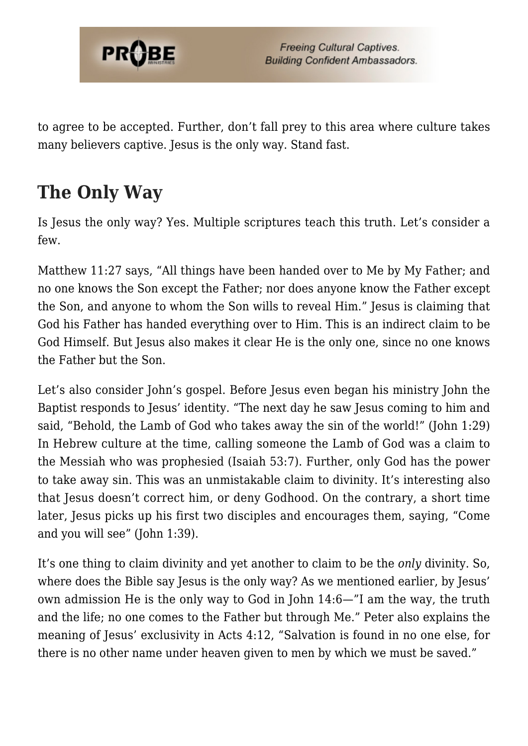

to agree to be accepted. Further, don't fall prey to this area where culture takes many believers captive. Jesus is the only way. Stand fast.

## **The Only Way**

Is Jesus the only way? Yes. Multiple scriptures teach this truth. Let's consider a few.

Matthew 11:27 says, "All things have been handed over to Me by My Father; and no one knows the Son except the Father; nor does anyone know the Father except the Son, and anyone to whom the Son wills to reveal Him." Jesus is claiming that God his Father has handed everything over to Him. This is an indirect claim to be God Himself. But Jesus also makes it clear He is the only one, since no one knows the Father but the Son.

Let's also consider John's gospel. Before Jesus even began his ministry John the Baptist responds to Jesus' identity. "The next day he saw Jesus coming to him and said, "Behold, the Lamb of God who takes away the sin of the world!" (John 1:29) In Hebrew culture at the time, calling someone the Lamb of God was a claim to the Messiah who was prophesied (Isaiah 53:7). Further, only God has the power to take away sin. This was an unmistakable claim to divinity. It's interesting also that Jesus doesn't correct him, or deny Godhood. On the contrary, a short time later, Jesus picks up his first two disciples and encourages them, saying, "Come and you will see" (John 1:39).

It's one thing to claim divinity and yet another to claim to be the *only* divinity. So, where does the Bible say Jesus is the only way? As we mentioned earlier, by Jesus' own admission He is the only way to God in John 14:6—"I am the way, the truth and the life; no one comes to the Father but through Me." Peter also explains the meaning of Jesus' exclusivity in Acts 4:12, "Salvation is found in no one else, for there is no other name under heaven given to men by which we must be saved."